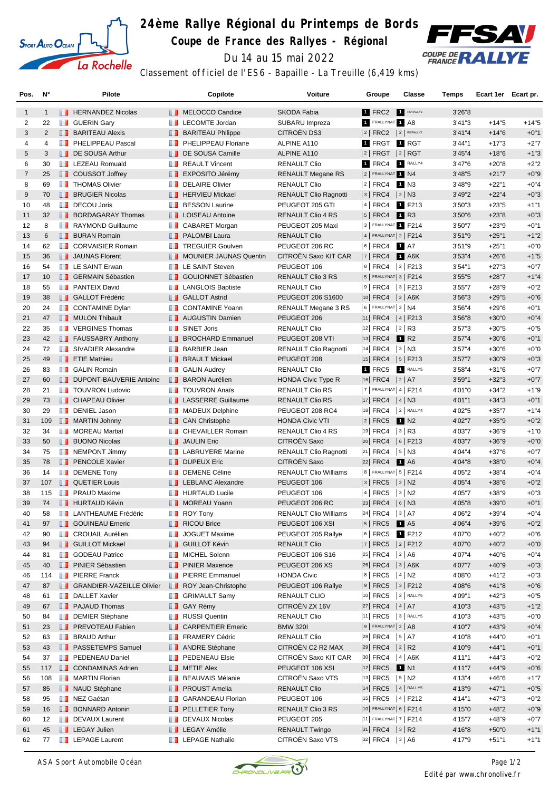

## **24ème Rallye Régional du Printemps de Bords**

**Coupe de France des Rallyes - Régional**



Du 14 au 15 mai 2022

Classement officiel de l'ES6 - Bapaille - La Treuille (6,419 kms)

| Pos.           | N°           |      | Pilote                             |               | Copilote                         | <b>Voiture</b>               | Groupe                     | Classe               | <b>Temps</b> | Ecart 1er Ecart pr. |         |
|----------------|--------------|------|------------------------------------|---------------|----------------------------------|------------------------------|----------------------------|----------------------|--------------|---------------------|---------|
| $\mathbf{1}$   | $\mathbf{1}$ |      | <b>FERNANDEZ Nicolas</b>           |               | <b>NELOCCO</b> Candice           | <b>SKODA Fabia</b>           | 1 FRC2                     | R5/RALLY2            | 3'26"8       |                     |         |
| 2              | 22           |      | <b>B</b> GUERIN Gary               | <b>H H</b>    | LECOMTE Jordan                   | SUBARU Impreza               | 1 FRALLYNAT 1 A8           |                      | 3'41''3      | $+14"5$             | $+14"5$ |
| 3              | 2            |      | <b>BARITEAU Alexis</b>             |               | <b>BARITEAU Philippe</b>         | CITROËN DS3                  | $ 2 $ FRC2 $ 2 $ R5/RALLY2 |                      | 3'41''4      | $+14"6$             | $+0"1$  |
| 4              | 4            | ш    | PHELIPPEAU Pascal                  | m             | PHELIPPEAU Floriane              | ALPINE A110                  | 1 FRGT                     | 1 RGT                | 3'44"1       | $+17"3$             | $+2"7$  |
| 5              | 3            |      | DE SOUSA Arthur                    |               | DE SOUSA Camille                 | <b>ALPINE A110</b>           | 2   FRGT  2   RGT          |                      | 3'45''4      | $+18"6$             | $+1"3$  |
| 6              | 30           |      | <b>EXECUED FLUE LEZEAU Romuald</b> |               | <b>REAULT Vincent</b>            | <b>RENAULT Clio</b>          | 1 FRC4                     | 1 RALLY4             | 3'47"6       | $+20"8$             | $+2"2$  |
| $\overline{7}$ | 25           |      | <b>COUSSOT Joffrey</b>             |               | <b>EXPOSITO Jérémy</b>           | RENAULT Megane RS            | 2 FRALLYNAT 1 N4           |                      | 3'48"5       | $+21"7$             | $+0"9$  |
| 8              | 69           |      | <b>THOMAS Olivier</b>              | п.            | <b>DELAIRE Olivier</b>           | <b>RENAULT Clio</b>          | 2   FRC4                   | 1 N3                 | 3'48"9       | $+22"1$             | $+0"4$  |
| 9              | 70           |      | <b>BRUGIER Nicolas</b>             |               | <b>FERVIEU Mickael</b>           | <b>RENAULT Clio Ragnotti</b> | 3   FRC4   2   N3          |                      | 3'49"2       | $+22"4$             | $+0"3$  |
| 10             | 48           | ш    | <b>DECOU Joris</b>                 | m             | <b>BESSON Laurine</b>            | PEUGEOT 205 GTI              | 4   FRC4                   | 1 F213               | 3'50"3       | $+23"5$             | $+1"1$  |
| 11             | 32           |      | <b>BORDAGARAY Thomas</b>           |               | <b>I</b> LOISEAU Antoine         | <b>RENAULT Clio 4 RS</b>     | 5   FRC4                   | <b>1</b> R3          | 3'50"6       | $+23"8$             | $+0"3$  |
| 12             | 8            | ш    | <b>RAYMOND Guillaume</b>           |               | <b>CABARET Morgan</b>            | PEUGEOT 205 Maxi             | 3 FRALLYNAT 1 F214         |                      | 3'50"7       | $+23"9$             | $+0"1$  |
| 13             | 6            | ш    | <b>BURAN Romain</b>                |               | <b>PALOMBI Laura</b>             | <b>RENAULT Clio</b>          | $ 4 $ FRALLYNAT $ 2 $ F214 |                      | 3'51"9       | $+25"1$             | $+1"2$  |
| 14             | 62           |      | <b>CORVAISIER Romain</b>           | <b>The Co</b> | <b>TREGUIER Goulven</b>          | PEUGEOT 206 RC               | $ 6 $ FRC4 1 A7            |                      | 3'51"9       | $+25"1$             | $+0"0$  |
| 15             | 36           |      | <b>JAUNAS Florent</b>              | п.            | <b>MOUNIER JAUNAS Quentin</b>    | CITROEN Saxo KIT CAR         | $ 7 $ FRC4                 | $1$ A6K              | 3'53''4      | $+26"6$             | $+1"5$  |
| 16             | 54           |      | <b>EXAINT Erwan</b>                | m             | <b>LE SAINT Steven</b>           | PEUGEOT 106                  | 8 FRC4 2 F213              |                      | 3'54"1       | $+27"3$             | $+0"7$  |
| 17             | 10           |      | <b>B</b> GERMAIN Sébastien         |               | <b>B</b> GOUIONNET Sébastien     | RENAULT Clio 3 RS            | $5$ FRALLYNAT 3   F214     |                      | 3'55"5       | $+28"7$             | $+1"4$  |
| 18             | 55           | a sa | <b>PANTEIX David</b>               |               | <b>LANGLOIS Baptiste</b>         | <b>RENAULT Clio</b>          | 9   FRC4   3   F213        |                      | 3'55''7      | $+28"9$             | $+0"2$  |
| 19             | 38           |      | <b>B</b> GALLOT Frédéric           |               | <b>B</b> GALLOT Astrid           | PEUGEOT 206 S1600            | $ 10 $ FRC4 $ 2 $ A6K      |                      | 3'56"3       | $+29"5$             | $+0"6$  |
| 20             | 24           |      | CONTAMINE Dylan                    | . .           | <b>CONTAMINE Yoann</b>           | RENAULT Megane 3 RS          | $6$ FRALLYNAT 2 N4         |                      | 3'56"4       | $+29"6$             | $+0"1$  |
| 21             | 47           |      | MULON Thibault                     |               | <b>4 AUGUSTIN Damien</b>         | PEUGEOT 206                  | $ 11 $ FRC4 $ 4 $ F213     |                      | 3'56"8       | $+30"0$             | $+0"4$  |
| 22             | 35           |      | <b>T</b> VERGINES Thomas           | ш             | <b>SINET Joris</b>               | <b>RENAULT Clio</b>          | 12 FRC4                    | $ 2 $ R3             | 3'57''3      | $+30"5$             | $+0"5$  |
| 23             | 42           |      | <b>FAUSSABRY Anthony</b>           |               | <b>BROCHARD Emmanuel</b>         | PEUGEOT 208 VTI              | $ 13 $ FRC4                | 1 R <sub>2</sub>     | 3'57''4      | $+30"6$             | $+0"1$  |
| 24             | 72           | ш    | SIVADIER Alexandre                 | m             | <b>BARBIER Jean</b>              | <b>RENAULT Clio Ragnotti</b> | <sup>14</sup> FRC4         | $ 3 $ N3             | 3'57''4      | $+30"6$             | $+0"0$  |
| 25             | 49           |      | <b>T</b> ETIE Mathieu              |               | <b>BRAULT Mickael</b>            | PEUGEOT 208                  | $ 15 $ FRC4 $ 5 $ F213     |                      | 3'57''7      | $+30"9$             | $+0"3$  |
| 26             | 83           |      | <b>B</b> GALIN Romain              | ш             | <b>GALIN Audrey</b>              | <b>RENAULT Clio</b>          | 1 FRC5                     | RALLY5               | 3'58''4      | $+31"6$             | $+0"7$  |
| 27             | 60           |      | <b>DUPONT-BAUVERIE Antoine</b>     |               | <b>BARON</b> Aurélien            | <b>HONDA Civic Type R</b>    | 16  FRC4   2   A7          |                      | 3'59''1      | $+32"3$             | $+0"7$  |
| 28             | 21           |      | <b>TOUVRON Ludovic</b>             | <b>A 10</b>   | <b>TOUVRON Anaïs</b>             | <b>RENAULT Clio RS</b>       | $ 7 $ FRALLYNAT 4   F214   |                      | 4'01"0       | $+34"2$             | $+1"9$  |
| 29             | 73           |      | <b>CHAPEAU Olivier</b>             |               | <b>LE</b> LASSERRE Guillaume     | <b>RENAULT Clio RS</b>       | 17 FRC4   4   N3           |                      | 4'01"1       | $+34"3$             | $+0"1$  |
| 30             | 29           | m    | DENIEL Jason                       | w             | <b>MADEUX Delphine</b>           | PEUGEOT 208 RC4              | $ 18 $ FRC4                | $2$ RALLY4           | 4'02"5       | $+35"7$             | $+1"4$  |
| 31             | 109          |      | MARTIN Johnny                      |               | <b>CAN Christophe</b>            | <b>HONDA Civic VTI</b>       | 2   FRC5                   | 1 N2                 | 4'02"7       | $+35"9$             | $+0"2$  |
| 32             | 34           |      | <b>NOREAU Martial</b>              | H             | <b>CHEVAILLER Romain</b>         | RENAULT Clio 4 RS            | 19 FRC4                    | $ 3 $ R3             | 4'03"7       | $+36"9$             | $+1"0$  |
| 33             | 50           |      | <b>BUONO Nicolas</b>               | a a           | <b>JAULIN Eric</b>               | CITROËN Saxo                 | $ 20 $ FRC4                | $ 6 $ F213           | 4'03"7       | $+36"9$             | $+0"0$  |
| 34             | 75           |      | <b>NEMPONT Jimmy</b>               |               | <b>T</b> LABRUYERE Marine        | <b>RENAULT Clio Ragnotti</b> | $ 21 $ FRC4                | $ 5 $ N3             | 4'04"4       | $+37"6$             | $+0"7$  |
| 35             | 78           |      | <b>PENCOLE Xavier</b>              |               | <b>DUPEUX Eric</b>               | CITROËN Saxo                 | $ 22 $ FRC4                | <b>1</b> A6          | 4'04"8       | $+38"0$             | $+0"4$  |
| 36             | 14           | ш    | <b>DEMENE Tony</b>                 | u             | <b>DEMENE Céline</b>             | <b>RENAULT Clio Williams</b> | 8   FRALLYNAT 5   F214     |                      | 4'05"2       | $+38"4$             | $+0"4$  |
| 37             | 107          |      | <b>QUETIER Louis</b>               |               | <b>EXECUTE LEBLANC Alexandre</b> | PEUGEOT 106                  | $ 3 $ FRC5 $ 2 $ N2        |                      | 4'05"4       | $+38"6$             | $+0"2$  |
| 38             | 115          | w    | <b>PRAUD Maxime</b>                |               | <b>HURTAUD Lucile</b>            | PEUGEOT 106                  | 4 FRC5                     | $ 3 $ N <sub>2</sub> | 4'05"7       | $+38"9$             | $+0"3$  |
| 39             | 74           |      | <b>HURTAUD Kévin</b>               |               | <b>NOREAU Yoann</b>              | PEUGEOT 206 RC               |                            |                      | 4'05"8       | $+39"0$             | $+0"1$  |
| 40             | 58           |      | <b>LANTHEAUME Frédéric</b>         |               | <b>ROY Tony</b>                  | <b>RENAULT Clio Williams</b> | 24 FRC4 3 A7               |                      | 4'06"2       | $+39"4$             | $+0"4$  |
| 41             | 97           |      | <b>SOUINEAU Emeric</b>             |               | RICOU Brice                      | PEUGEOT 106 XSI              | 5   FRC5                   | 1 A <sub>5</sub>     | 4'06"4       | $+39"6$             | $+0"2$  |
| 42             | 90           | ш    | <b>CROUAIL Aurélien</b>            | ш             | <b>JOGUET Maxime</b>             | PEUGEOT 205 Rallye           | $ 6 $ FRC5                 | 1 F212               | 4'07"0       | $+40"2$             | $+0"6$  |
| 43             | 94           |      | <b>GUILLOT Mickael</b>             |               | <b>B</b> GUILLOT Kévin           | <b>RENAULT Clio</b>          | 7   FRC5   2   F212        |                      | 4'07"0       | $+40"2$             | $+0"0$  |
| 44             | 81           | ш    | <b>GODEAU Patrice</b>              | m             | MICHEL Solenn                    | PEUGEOT 106 S16              | $ 25 $ FRC4                | 2 A6                 | 4'07"4       | $+40"6$             | $+0"4$  |
| 45             | 40           |      | <b>FI</b> PINIER Sébastien         |               | <b>PINIER Maxence</b>            | PEUGEOT 206 XS               | 26 FRC4   3   A6K          |                      | 4'07"7       | $+40"9$             | $+0"3$  |
| 46             | 114          |      | <b>PIERRE Franck</b>               |               | <b>PIERRE Emmanuel</b>           | <b>HONDA Civic</b>           | 8 FRC5 4 N2                |                      | 4'08"0       | $+41"2$             | $+0"3$  |
| 47             | 87           |      | <b>SRANDIER-VAZEILLE Olivier</b>   |               | ROY Jean-Christophe              | PEUGEOT 106 Rallye           | $ 9 $ FRC5 $ 3 $ F212      |                      | 4'08"6       | $+41"8$             | $+0"6$  |
| 48             | 61           | n i  | <b>DALLET Xavier</b>               |               | <b>B</b> GRIMAULT Samy           | RENAULT CLIO                 | 10 FRC5                    | $2$ RALLY5           | 4'09"1       | $+42"3$             | $+0"5$  |
| 49             | 67           |      | <b>PAJAUD Thomas</b>               |               | <b>B</b> GAY Rémy                | CITROËN ZX 16V               | 27  FRC4   4   A7          |                      | 4'10"3       | $+43"5$             | $+1"2$  |
| 50             | 84           | ш    | <b>DEMIER Stéphane</b>             | m             | <b>RUSSI</b> Quentin             | <b>RENAULT Clio</b>          | 11 FRC5                    | 3 RALLY5             | 4'10"3       | $+43"5$             | $+0"0$  |
| 51             | 23           |      | <b>FREVOTEAU Fabien</b>            |               | <b>CARPENTIER Emeric</b>         | <b>BMW 320I</b>              | $9$ Frallynat $2$ A8       |                      | 4'10"7       | $+43"9$             | $+0"4$  |
| 52             | 63           | ш    | <b>BRAUD Arthur</b>                |               | <b>FRAMERY Cédric</b>            | RENAULT Clio                 | $ 28 $ FRC4 $ 5 $ A7       |                      | 4'10"8       | $+44"0$             | $+0"1$  |
| 53             | 43           |      | <b>FI</b> PASSETEMPS Samuel        |               | <b>ANDRE Stéphane</b>            | CITROËN C2 R2 MAX            | $ 29 $ FRC4 $ 2 $ R2       |                      | 4'10"9       | $+44"1$             | $+0"1$  |
| 54             | 37           |      | <b>PEDENEAU Daniel</b>             |               | <b>FEDENEAU Elsie</b>            | CITROËN Saxo KIT CAR         | $ 30 $ FRC4                | $ 4 $ A6K            | 4'11"1       | $+44"3$             | $+0"2$  |
| 55             | 117          |      | <b>CONDAMINAS Adrien</b>           |               | <b>NETIE Alex</b>                | PEUGEOT 106 XSI              | $ 12 $ FRC5                | <b>1</b> N1          | 4'11"7       | $+44"9$             | $+0"6$  |
| 56             | 108          | ш    | <b>MARTIN Florian</b>              | w             | <b>BEAUVAIS Mélanie</b>          | CITROËN Saxo VTS             | $ 13 $ FRC5                | $ 5 $ N2             | 4'13"4       | $+46"6$             | $+1"7$  |
| 57             | 85           |      | NAUD Stéphane                      |               | <b>PROUST Amelia</b>             | <b>RENAULT Clio</b>          | 14 FRC5 4 RALLY5           |                      | 4'13"9       | $+47"1$             | $+0"5$  |
| 58             | 95           | ш    | NEZ Gaétan                         | a a           | <b>GARANDEAU Florian</b>         | PEUGEOT 106                  | $ 15 $ FRC5 $ 4 $ F212     |                      | 4'14"1       | $+47"3$             | $+0"2$  |
| 59             | 16           | ш    | <b>BONNARD Antonin</b>             |               | <b>PELLETIER Tony</b>            | RENAULT Clio 3 RS            | 10 FRALLYNAT 6   F214      |                      | 4'15"0       | $+48"2$             | $+0"9$  |
| 60             | 12           |      | DEVAUX Laurent                     |               | DEVAUX Nicolas                   | PEUGEOT 205                  | 11 FRALLYNAT 7   F214      |                      | 4'15"7       | $+48"9$             | $+0"7$  |
| 61             | 45           |      | <b>LEGAY Julien</b>                |               | <b>Exercise</b> LEGAY Amélie     | <b>RENAULT Twingo</b>        | $ 31 $ FRC4 $ 3 $ R2       |                      | 4'16"8       | $+50"0$             | $+1"1$  |
| 62             |              |      | <b>LEPAGE Laurent</b>              |               | <b>LEPAGE Nathalie</b>           | CITROËN Saxo VTS             | 32 FRC4 3 A6               |                      | 4'17"9       | $+51"1$             |         |
|                | 77           |      |                                    |               |                                  |                              |                            |                      |              |                     | $+1"1$  |